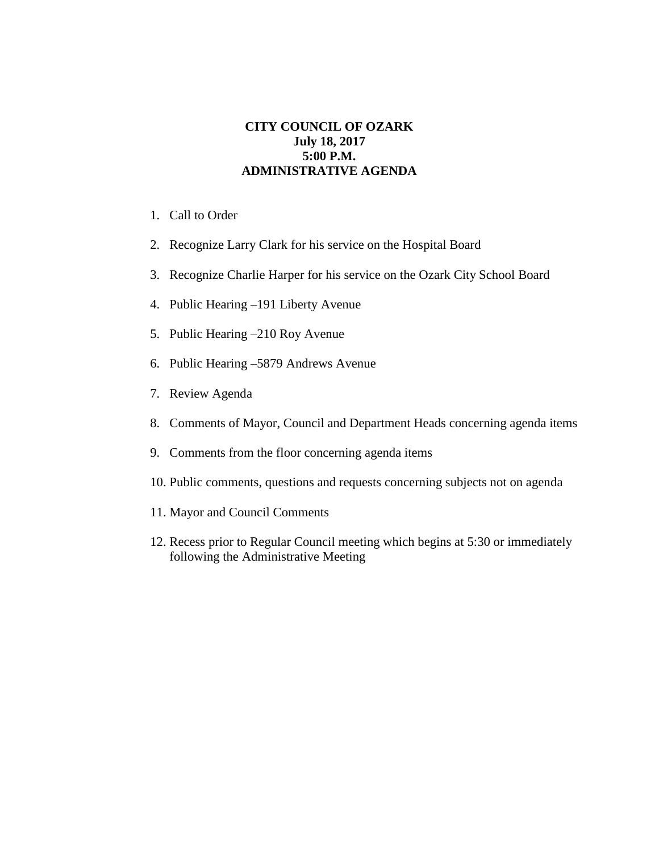## **CITY COUNCIL OF OZARK July 18, 2017 5:00 P.M. ADMINISTRATIVE AGENDA**

- 1. Call to Order
- 2. Recognize Larry Clark for his service on the Hospital Board
- 3. Recognize Charlie Harper for his service on the Ozark City School Board
- 4. Public Hearing –191 Liberty Avenue
- 5. Public Hearing –210 Roy Avenue
- 6. Public Hearing –5879 Andrews Avenue
- 7. Review Agenda
- 8. Comments of Mayor, Council and Department Heads concerning agenda items
- 9. Comments from the floor concerning agenda items
- 10. Public comments, questions and requests concerning subjects not on agenda
- 11. Mayor and Council Comments
- 12. Recess prior to Regular Council meeting which begins at 5:30 or immediately following the Administrative Meeting